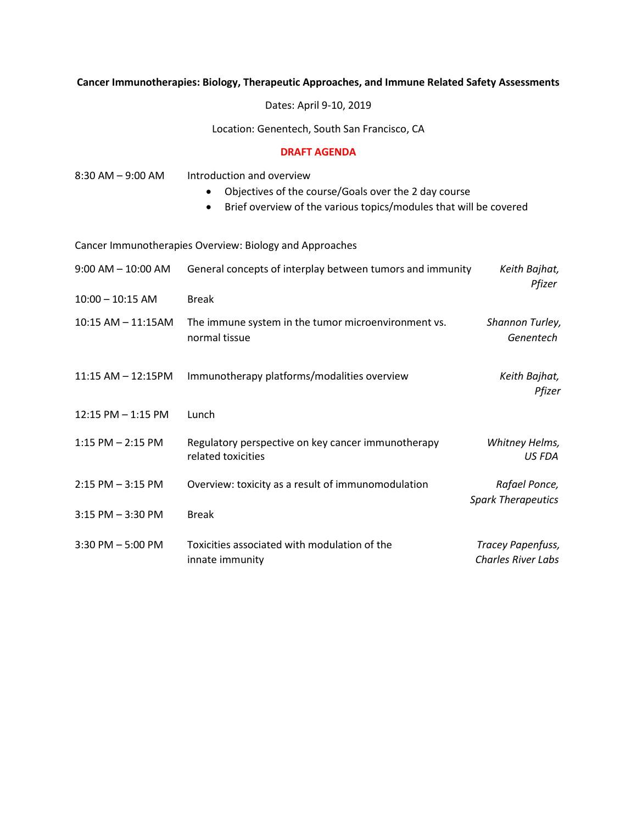## **Cancer Immunotherapies: Biology, Therapeutic Approaches, and Immune Related Safety Assessments**

Dates: April 9-10, 2019

Location: Genentech, South San Francisco, CA

## **DRAFT AGENDA**

| 8:30 AM - 9:00 AM      | Introduction and overview<br>Objectives of the course/Goals over the 2 day course<br>$\bullet$<br>Brief overview of the various topics/modules that will be covered<br>$\bullet$ |                                                |
|------------------------|----------------------------------------------------------------------------------------------------------------------------------------------------------------------------------|------------------------------------------------|
|                        | Cancer Immunotherapies Overview: Biology and Approaches                                                                                                                          |                                                |
| $9:00$ AM $- 10:00$ AM | General concepts of interplay between tumors and immunity                                                                                                                        | Keith Bajhat,<br>Pfizer                        |
| $10:00 - 10:15$ AM     | <b>Break</b>                                                                                                                                                                     |                                                |
| 10:15 AM - 11:15AM     | The immune system in the tumor microenvironment vs.<br>normal tissue                                                                                                             | Shannon Turley,<br>Genentech                   |
| 11:15 AM - 12:15PM     | Immunotherapy platforms/modalities overview                                                                                                                                      | Keith Bajhat,<br>Pfizer                        |
| 12:15 PM - 1:15 PM     | Lunch                                                                                                                                                                            |                                                |
| $1:15$ PM $- 2:15$ PM  | Regulatory perspective on key cancer immunotherapy<br>related toxicities                                                                                                         | Whitney Helms,<br><b>US FDA</b>                |
| $2:15$ PM $-3:15$ PM   | Overview: toxicity as a result of immunomodulation                                                                                                                               | Rafael Ponce,<br><b>Spark Therapeutics</b>     |
| 3:15 PM - 3:30 PM      | <b>Break</b>                                                                                                                                                                     |                                                |
| 3:30 PM - 5:00 PM      | Toxicities associated with modulation of the<br>innate immunity                                                                                                                  | Tracey Papenfuss,<br><b>Charles River Labs</b> |